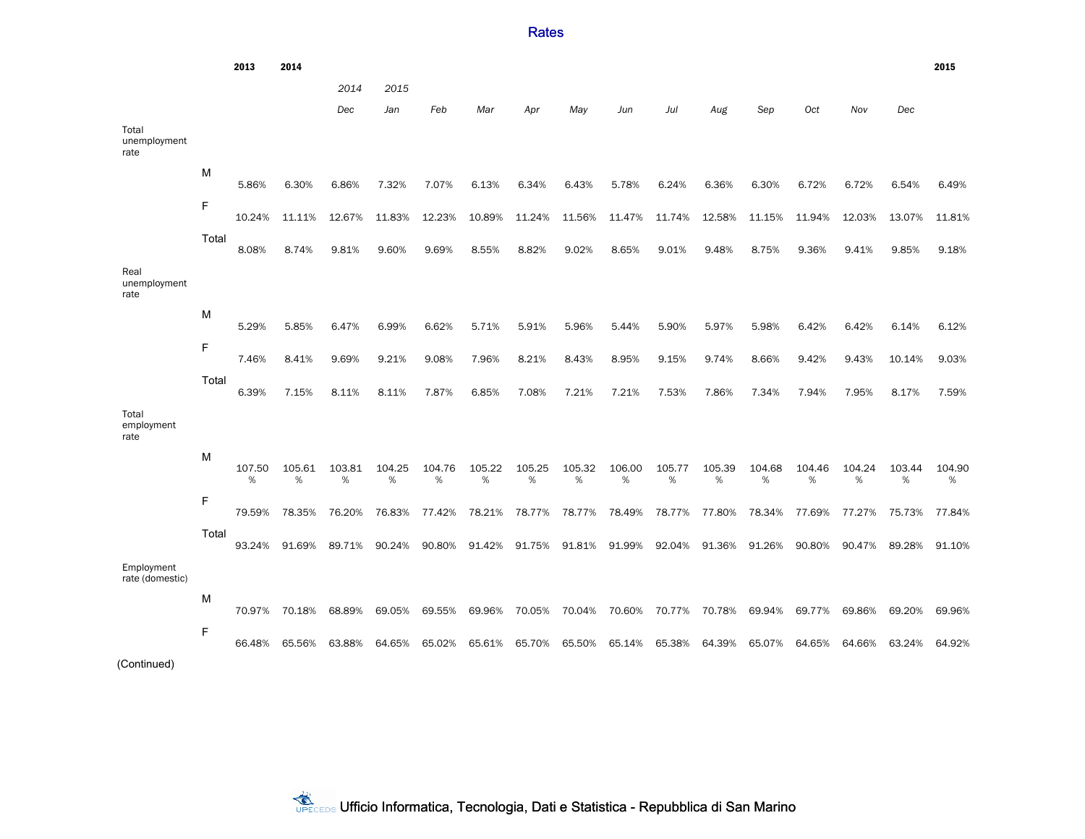```
2013 2014 2015
                              2014 2015
                              Dec Jan Feb Mar Apr May Jun Jul Aug Sep Oct Nov Dec
Total
unemployment
rate
           M
                 5.86% 6.30% 6.86% 7.32% 7.07% 6.13% 6.34% 6.43% 5.78% 6.24% 6.36% 6.30% 6.72% 6.72% 6.54% 6.49%
           F
                10.24% 11.11% 12.67% 11.83% 12.23% 10.89% 11.24% 11.56% 11.47% 11.74% 12.58% 11.15% 11.94% 12.03% 13.07% 11.81%
           Total
                 8.08% 8.74% 9.81% 9.60% 9.69% 8.55% 8.82% 9.02% 8.65% 9.01% 9.48% 8.75% 9.36% 9.41% 9.85% 9.18%
Real
unemployment
rate
           M
                 5.29% 5.85% 6.47% 6.99% 6.62% 5.71% 5.91% 5.96% 5.44% 5.90% 5.97% 5.98% 6.42% 6.42% 6.14% 6.12%
           F
                 7.46% 8.41% 9.69% 9.21% 9.08% 7.96% 8.21% 8.43% 8.95% 9.15% 9.74% 8.66% 9.42% 9.43% 10.14% 9.03%
           Total
                 6.39% 7.15% 8.11% 8.11% 7.87% 6.85% 7.08% 7.21% 7.21% 7.53% 7.86% 7.34% 7.94% 7.95% 8.17% 7.59%
Total
employment
rate
           M
                107.50
                  %
                      105.61
                        %
                             103.81
                              %
                                   104.25
                                     %
                                         104.76
                                           %
                                               105.22
                                                  %
                                                      105.25
                                                        %
                                                            105.32
                                                              %
                                                                   106.00
                                                                     %
                                                                         105.77
                                                                           %
                                                                                105.39
                                                                                  %
                                                                                      104.68
                                                                                        %
                                                                                             104.46
                                                                                              %
                                                                                                   104.24
                                                                                                     %
                                                                                                         103.44
                                                                                                           %
                                                                                                                104.90
                                                                                                                  %
           F
                79.59% 78.35% 76.20% 76.83% 77.42% 78.21% 78.77% 78.77% 78.49% 78.77% 77.80% 78.34% 77.69% 77.27% 75.73% 77.84%
           Total
                93.24% 91.69% 89.71% 90.24% 90.80% 91.42% 91.75% 91.81% 91.99% 92.04% 91.36% 91.26% 90.80% 90.47% 89.28% 91.10%
Employment
rate (domestic)
           M
                70.97% 70.18% 68.89% 69.05% 69.55% 69.96% 70.05% 70.04% 70.60% 70.77% 70.78% 69.94% 69.77% 69.86% 69.20% 69.96%
           F
                66.48% 65.56% 63.88% 64.65% 65.02% 65.61% 65.70% 65.50% 65.14% 65.38% 64.39% 65.07% 64.65% 64.66% 63.24% 64.92%
(Continued)
```
**Rates**